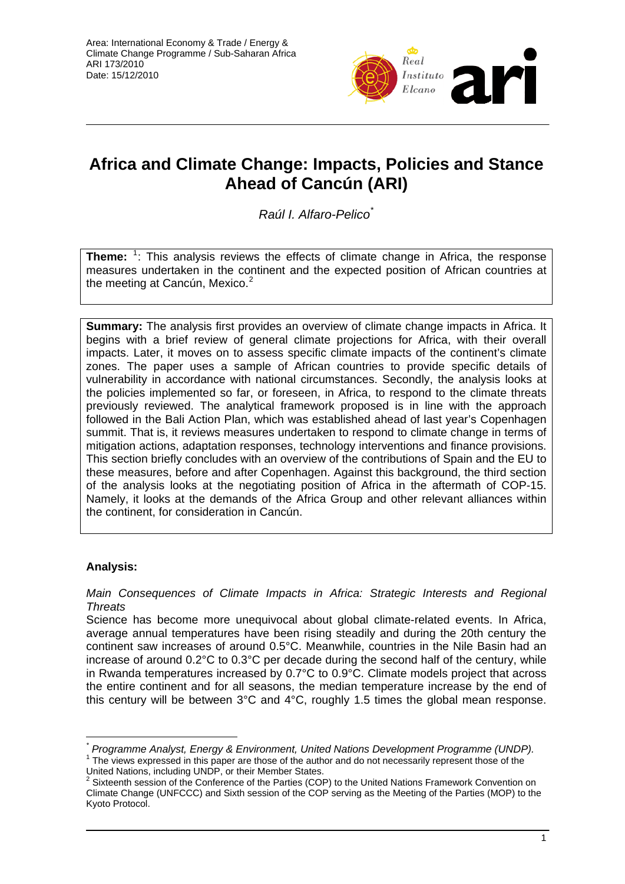

# **Africa and Climate Change: Impacts, Policies and Stance Ahead of Cancún (ARI)**

*Raúl I. Alfaro-Pelico*[\\*](#page-0-0)

**Theme:** <sup>[1](#page-0-1)</sup>: This analysis reviews the effects of climate change in Africa, the response measures undertaken in the continent and the expected position of African countries at the meeting at Cancún, Mexico.<sup>[2](#page-0-2)</sup>

**Summary:** The analysis first provides an overview of climate change impacts in Africa. It begins with a brief review of general climate projections for Africa, with their overall impacts. Later, it moves on to assess specific climate impacts of the continent's climate zones. The paper uses a sample of African countries to provide specific details of vulnerability in accordance with national circumstances. Secondly, the analysis looks at the policies implemented so far, or foreseen, in Africa, to respond to the climate threats previously reviewed. The analytical framework proposed is in line with the approach followed in the Bali Action Plan, which was established ahead of last year's Copenhagen summit. That is, it reviews measures undertaken to respond to climate change in terms of mitigation actions, adaptation responses, technology interventions and finance provisions. This section briefly concludes with an overview of the contributions of Spain and the EU to these measures, before and after Copenhagen. Against this background, the third section of the analysis looks at the negotiating position of Africa in the aftermath of COP-15. Namely, it looks at the demands of the Africa Group and other relevant alliances within the continent, for consideration in Cancún.

# **Analysis:**

 $\overline{a}$ 

*Main Consequences of Climate Impacts in Africa: Strategic Interests and Regional Threats* 

Science has become more unequivocal about global climate-related events. In Africa, average annual temperatures have been rising steadily and during the 20th century the continent saw increases of around 0.5°C. Meanwhile, countries in the Nile Basin had an increase of around 0.2°C to 0.3°C per decade during the second half of the century, while in Rwanda temperatures increased by 0.7°C to 0.9°C. Climate models project that across the entire continent and for all seasons, the median temperature increase by the end of this century will be between 3°C and 4°C, roughly 1.5 times the global mean response.

<span id="page-0-1"></span> The views expressed in this paper are those of the author and do not necessarily represent those of the United Nations, including UNDP, or their Member States.<br><sup>2</sup> Sixteenth session of the Conference of the Parties (COP) to the United Nations Framework Convention on

<span id="page-0-0"></span>*<sup>\*</sup> Programme Analyst, Energy & Environment, United Nations Development Programme (UNDP).* <sup>1</sup>

<span id="page-0-2"></span>Climate Change (UNFCCC) and Sixth session of the COP serving as the Meeting of the Parties (MOP) to the Kyoto Protocol.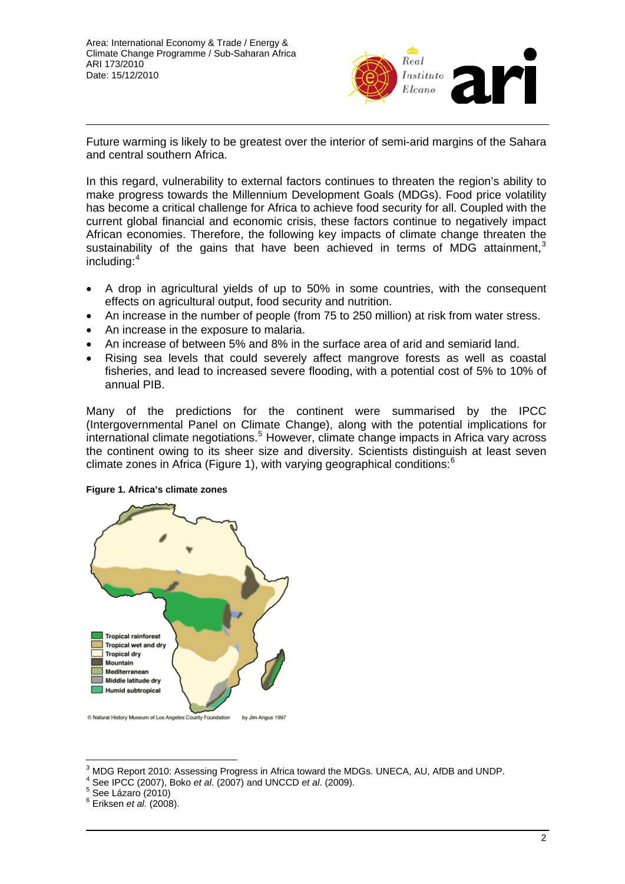

Future warming is likely to be greatest over the interior of semi-arid margins of the Sahara and central southern Africa.

In this regard, vulnerability to external factors continues to threaten the region's ability to make progress towards the Millennium Development Goals (MDGs). Food price volatility has become a critical challenge for Africa to achieve food security for all. Coupled with the current global financial and economic crisis, these factors continue to negatively impact African economies. Therefore, the following key impacts of climate change threaten the sustainability of the gains that have been achieved in terms of MDG attainment.<sup>[3](#page-1-0)</sup> including:[4](#page-1-1)

- A drop in agricultural yields of up to 50% in some countries, with the consequent effects on agricultural output, food security and nutrition.
- An increase in the number of people (from 75 to 250 million) at risk from water stress.
- An increase in the exposure to malaria.
- An increase of between 5% and 8% in the surface area of arid and semiarid land.
- Rising sea levels that could severely affect mangrove forests as well as coastal fisheries, and lead to increased severe flooding, with a potential cost of 5% to 10% of annual PIB.

Many of the predictions for the continent were summarised by the IPCC (Intergovernmental Panel on Climate Change), along with the potential implications for international climate negotiations.<sup>[5](#page-1-2)</sup> However, climate change impacts in Africa vary across the continent owing to its sheer size and diversity. Scientists distinguish at least seven climate zones in Africa (Figure 1), with varying geographical conditions:[6](#page-1-3)

#### **Figure 1. Africa's climate zones**



 $\overline{\phantom{a}}$ 3 MDG Report 2010: Assessing Progress in Africa toward the MDGs. UNECA, AU, AfDB and UNDP. 4

<span id="page-1-2"></span> $5$  See Lázaro (2010)

<span id="page-1-1"></span><span id="page-1-0"></span>See IPCC (2007), Boko *et al*. (2007) and UNCCD *et al*. (2009). 5

<span id="page-1-3"></span><sup>6</sup> Eriksen *et al.* (2008).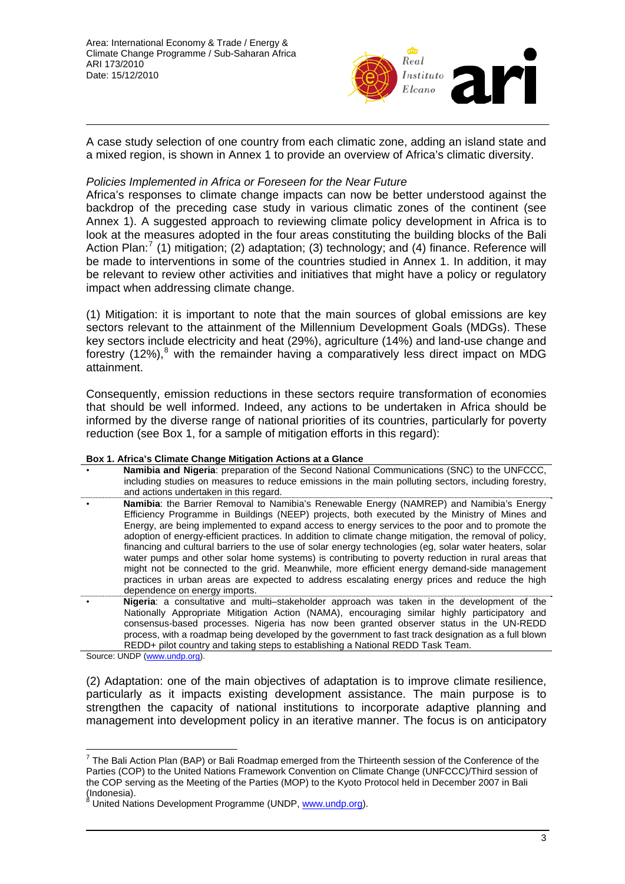

A case study selection of one country from each climatic zone, adding an island state and a mixed region, is shown in Annex 1 to provide an overview of Africa's climatic diversity.

### *Policies Implemented in Africa or Foreseen for the Near Future*

Africa's responses to climate change impacts can now be better understood against the backdrop of the preceding case study in various climatic zones of the continent (see Annex 1). A suggested approach to reviewing climate policy development in Africa is to look at the measures adopted in the four areas constituting the building blocks of the Bali Action Plan:<sup>[7](#page-2-0)</sup> (1) mitigation; (2) adaptation; (3) technology; and (4) finance. Reference will be made to interventions in some of the countries studied in Annex 1. In addition, it may be relevant to review other activities and initiatives that might have a policy or regulatory impact when addressing climate change.

(1) Mitigation: it is important to note that the main sources of global emissions are key sectors relevant to the attainment of the Millennium Development Goals (MDGs). These key sectors include electricity and heat (29%), agriculture (14%) and land-use change and forestry (12%), $8$  with the remainder having a comparatively less direct impact on MDG attainment.

Consequently, emission reductions in these sectors require transformation of economies that should be well informed. Indeed, any actions to be undertaken in Africa should be informed by the diverse range of national priorities of its countries, particularly for poverty reduction (see Box 1, for a sample of mitigation efforts in this regard):

### **Box 1. Africa's Climate Change Mitigation Actions at a Glance**

- **Namibia and Nigeria**: preparation of the Second National Communications (SNC) to the UNFCCC, including studies on measures to reduce emissions in the main polluting sectors, including forestry, and actions undertaken in this regard.
- **Namibia**: the Barrier Removal to Namibia's Renewable Energy (NAMREP) and Namibia's Energy Efficiency Programme in Buildings (NEEP) projects, both executed by the Ministry of Mines and Energy, are being implemented to expand access to energy services to the poor and to promote the adoption of energy-efficient practices. In addition to climate change mitigation, the removal of policy, financing and cultural barriers to the use of solar energy technologies (eg, solar water heaters, solar water pumps and other solar home systems) is contributing to poverty reduction in rural areas that might not be connected to the grid. Meanwhile, more efficient energy demand-side management practices in urban areas are expected to address escalating energy prices and reduce the high dependence on energy imports.
- **Nigeria**: a consultative and multi–stakeholder approach was taken in the development of the Nationally Appropriate Mitigation Action (NAMA), encouraging similar highly participatory and consensus-based processes. Nigeria has now been granted observer status in the UN-REDD process, with a roadmap being developed by the government to fast track designation as a full blown REDD+ pilot country and taking steps to establishing a National REDD Task Team.

Source: UNDP ([www.undp.org\)](http://www.undp.org/).

(2) Adaptation: one of the main objectives of adaptation is to improve climate resilience, particularly as it impacts existing development assistance. The main purpose is to strengthen the capacity of national institutions to incorporate adaptive planning and management into development policy in an iterative manner. The focus is on anticipatory

<span id="page-2-0"></span>The Bali Action Plan (BAP) or Bali Roadmap emerged from the Thirteenth session of the Conference of the Thirteenth Parties (COP) to the United Nations Framework Convention on Climate Change (UNFCCC)/Third session of the COP serving as the Meeting of the Parties (MOP) to the Kyoto Protocol held in December 2007 in Bali (Indonesia).

<span id="page-2-1"></span><sup>8</sup> United Nations Development Programme (UNDP, [www.undp.org\)](http://www.undp.org/).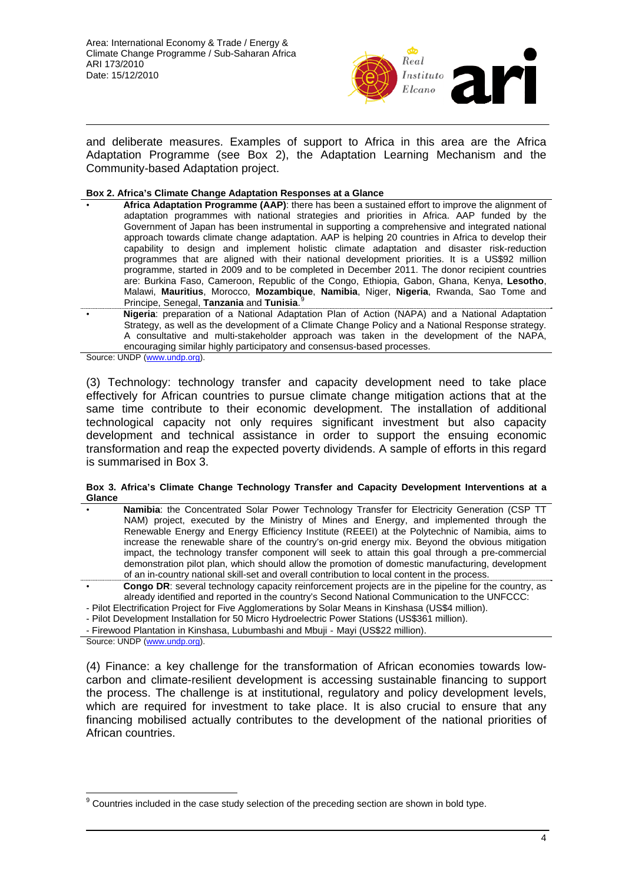

and deliberate measures. Examples of support to Africa in this area are the Africa Adaptation Programme (see Box 2), the Adaptation Learning Mechanism and the Community-based Adaptation project.

#### **Box 2. Africa's Climate Change Adaptation Responses at a Glance**

- **Africa Adaptation Programme (AAP)**: there has been a sustained effort to improve the alignment of adaptation programmes with national strategies and priorities in Africa. AAP funded by the Government of Japan has been instrumental in supporting a comprehensive and integrated national approach towards climate change adaptation. AAP is helping 20 countries in Africa to develop their capability to design and implement holistic climate adaptation and disaster risk-reduction programmes that are aligned with their national development priorities. It is a US\$92 million programme, started in 2009 and to be completed in December 2011. The donor recipient countries are: Burkina Faso, Cameroon, Republic of the Congo, Ethiopia, Gabon, Ghana, Kenya, **Lesotho**, Malawi, **Mauritius**, Morocco, **Mozambique**, **Namibia**, Niger, **Nigeria**, Rwanda, Sao Tome and Principe, Senegal, **Tanzania** and **Tunisia**. [9](#page-3-0)
- **Nigeria**: preparation of a National Adaptation Plan of Action (NAPA) and a National Adaptation Strategy, as well as the development of a Climate Change Policy and a National Response strategy. A consultative and multi-stakeholder approach was taken in the development of the NAPA, encouraging similar highly participatory and consensus-based processes.

Source: UNDP ([www.undp.org\)](http://www.undp.org/).

(3) Technology: technology transfer and capacity development need to take place effectively for African countries to pursue climate change mitigation actions that at the same time contribute to their economic development. The installation of additional technological capacity not only requires significant investment but also capacity development and technical assistance in order to support the ensuing economic transformation and reap the expected poverty dividends. A sample of efforts in this regard is summarised in Box 3.

#### **Box 3. Africa's Climate Change Technology Transfer and Capacity Development Interventions at a Glance**

- **Namibia**: the Concentrated Solar Power Technology Transfer for Electricity Generation (CSP TT NAM) project, executed by the Ministry of Mines and Energy, and implemented through the Renewable Energy and Energy Efficiency Institute (REEEI) at the Polytechnic of Namibia, aims to increase the renewable share of the country's on-grid energy mix. Beyond the obvious mitigation impact, the technology transfer component will seek to attain this goal through a pre-commercial demonstration pilot plan, which should allow the promotion of domestic manufacturing, development of an in-country national skill-set and overall contribution to local content in the process.
- **Congo DR**: several technology capacity reinforcement projects are in the pipeline for the country, as already identified and reported in the country's Second National Communication to the UNFCCC:
- Pilot Electrification Project for Five Agglomerations by Solar Means in Kinshasa (US\$4 million).
- Pilot Development Installation for 50 Micro Hydroelectric Power Stations (US\$361 million).

- Firewood Plantation in Kinshasa, Lubumbashi and Mbuji‐Mayi (US\$22 million).

Source: UNDP ([www.undp.org\)](http://www.undp.org/).

(4) Finance: a key challenge for the transformation of African economies towards lowcarbon and climate-resilient development is accessing sustainable financing to support the process. The challenge is at institutional, regulatory and policy development levels, which are required for investment to take place. It is also crucial to ensure that any financing mobilised actually contributes to the development of the national priorities of African countries.

<span id="page-3-0"></span> $\overline{a}$  $9$  Countries included in the case study selection of the preceding section are shown in bold type.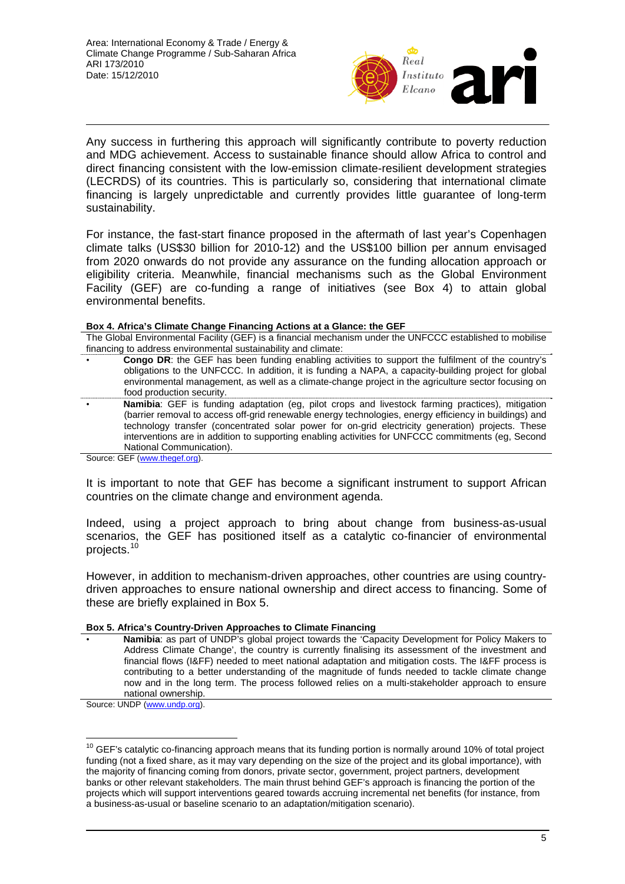

Any success in furthering this approach will significantly contribute to poverty reduction and MDG achievement. Access to sustainable finance should allow Africa to control and direct financing consistent with the low-emission climate-resilient development strategies (LECRDS) of its countries. This is particularly so, considering that international climate financing is largely unpredictable and currently provides little guarantee of long-term sustainability.

For instance, the fast-start finance proposed in the aftermath of last year's Copenhagen climate talks (US\$30 billion for 2010-12) and the US\$100 billion per annum envisaged from 2020 onwards do not provide any assurance on the funding allocation approach or eligibility criteria. Meanwhile, financial mechanisms such as the Global Environment Facility (GEF) are co-funding a range of initiatives (see Box 4) to attain global environmental benefits.

#### **Box 4. Africa's Climate Change Financing Actions at a Glance: the GEF**

The Global Environmental Facility (GEF) is a financial mechanism under the UNFCCC established to mobilise financing to address environmental sustainability and climate:

- **Congo DR**: the GEF has been funding enabling activities to support the fulfilment of the country's obligations to the UNFCCC. In addition, it is funding a NAPA, a capacity-building project for global environmental management, as well as a climate-change project in the agriculture sector focusing on food production security.
- **Namibia**: GEF is funding adaptation (eg, pilot crops and livestock farming practices), mitigation (barrier removal to access off-grid renewable energy technologies, energy efficiency in buildings) and technology transfer (concentrated solar power for on-grid electricity generation) projects. These interventions are in addition to supporting enabling activities for UNFCCC commitments (eg, Second National Communication).

Source: GEF [\(www.thegef.org\)](http://www.thegef.org/).

It is important to note that GEF has become a significant instrument to support African countries on the climate change and environment agenda.

Indeed, using a project approach to bring about change from business-as-usual scenarios, the GEF has positioned itself as a catalytic co-financier of environmental projects.[10](#page-4-0)

However, in addition to mechanism-driven approaches, other countries are using countrydriven approaches to ensure national ownership and direct access to financing. Some of these are briefly explained in Box 5.

#### **Box 5. Africa's Country-Driven Approaches to Climate Financing**

• **Namibia**: as part of UNDP's global project towards the 'Capacity Development for Policy Makers to Address Climate Change', the country is currently finalising its assessment of the investment and financial flows (I&FF) needed to meet national adaptation and mitigation costs. The I&FF process is contributing to a better understanding of the magnitude of funds needed to tackle climate change now and in the long term. The process followed relies on a multi-stakeholder approach to ensure national ownership.

Source: UNDP ([www.undp.org\)](http://www.undp.org/).

 $\overline{a}$ 

<span id="page-4-0"></span> $10$  GEF's catalytic co-financing approach means that its funding portion is normally around 10% of total project funding (not a fixed share, as it may vary depending on the size of the project and its global importance), with the majority of financing coming from donors, private sector, government, project partners, development banks or other relevant stakeholders. The main thrust behind GEF's approach is financing the portion of the projects which will support interventions geared towards accruing incremental net benefits (for instance, from a business-as-usual or baseline scenario to an adaptation/mitigation scenario).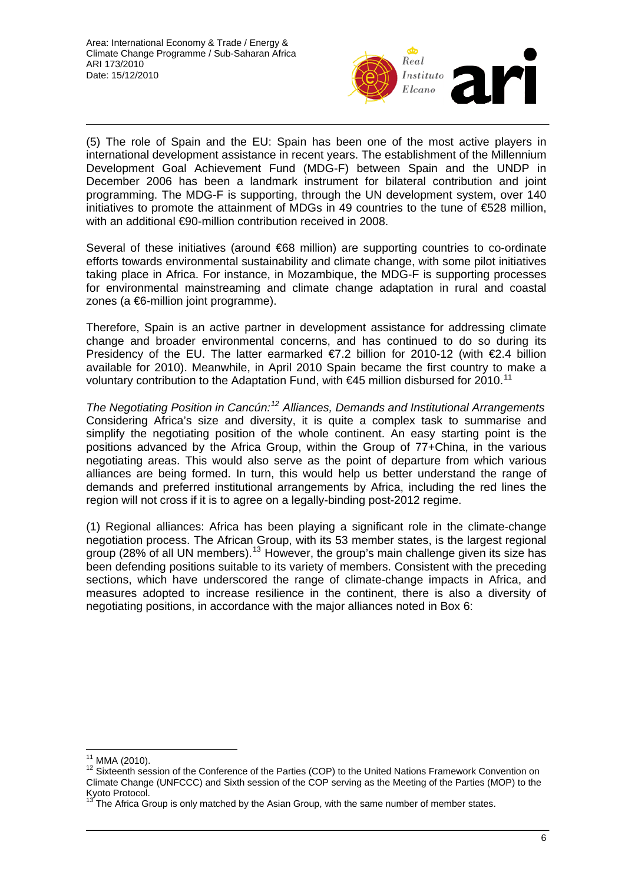

(5) The role of Spain and the EU: Spain has been one of the most active players in international development assistance in recent years. The establishment of the Millennium Development Goal Achievement Fund (MDG-F) between Spain and the UNDP in December 2006 has been a landmark instrument for bilateral contribution and joint programming. The MDG-F is supporting, through the UN development system, over 140 initiatives to promote the attainment of MDGs in 49 countries to the tune of  $\epsilon$ 528 million, with an additional €90-million contribution received in 2008.

Several of these initiatives (around €68 million) are supporting countries to co-ordinate efforts towards environmental sustainability and climate change, with some pilot initiatives taking place in Africa. For instance, in Mozambique, the MDG-F is supporting processes for environmental mainstreaming and climate change adaptation in rural and coastal zones (a €6-million joint programme).

Therefore, Spain is an active partner in development assistance for addressing climate change and broader environmental concerns, and has continued to do so during its Presidency of the EU. The latter earmarked €7.2 billion for 2010-12 (with €2.4 billion available for 2010). Meanwhile, in April 2010 Spain became the first country to make a voluntary contribution to the Adaptation Fund, with  $\epsilon$ 45 million disbursed for 2010.<sup>[11](#page-5-0)</sup>

*The Negotiating Position in Cancún:[12](#page-5-1) Alliances, Demands and Institutional Arrangements*  Considering Africa's size and diversity, it is quite a complex task to summarise and simplify the negotiating position of the whole continent. An easy starting point is the positions advanced by the Africa Group, within the Group of 77+China, in the various negotiating areas. This would also serve as the point of departure from which various alliances are being formed. In turn, this would help us better understand the range of demands and preferred institutional arrangements by Africa, including the red lines the region will not cross if it is to agree on a legally-binding post-2012 regime.

(1) Regional alliances: Africa has been playing a significant role in the climate-change negotiation process. The African Group, with its 53 member states, is the largest regional group (28% of all UN members).<sup>[13](#page-5-2)</sup> However, the group's main challenge given its size has been defending positions suitable to its variety of members. Consistent with the preceding sections, which have underscored the range of climate-change impacts in Africa, and measures adopted to increase resilience in the continent, there is also a diversity of negotiating positions, in accordance with the major alliances noted in Box 6:

<sup>&</sup>lt;sup>11</sup> MMA (2010).

<span id="page-5-1"></span><span id="page-5-0"></span><sup>&</sup>lt;sup>12</sup> Sixteenth session of the Conference of the Parties (COP) to the United Nations Framework Convention on Climate Change (UNFCCC) and Sixth session of the COP serving as the Meeting of the Parties (MOP) to the Kyoto Protocol.

<span id="page-5-2"></span>The Africa Group is only matched by the Asian Group, with the same number of member states.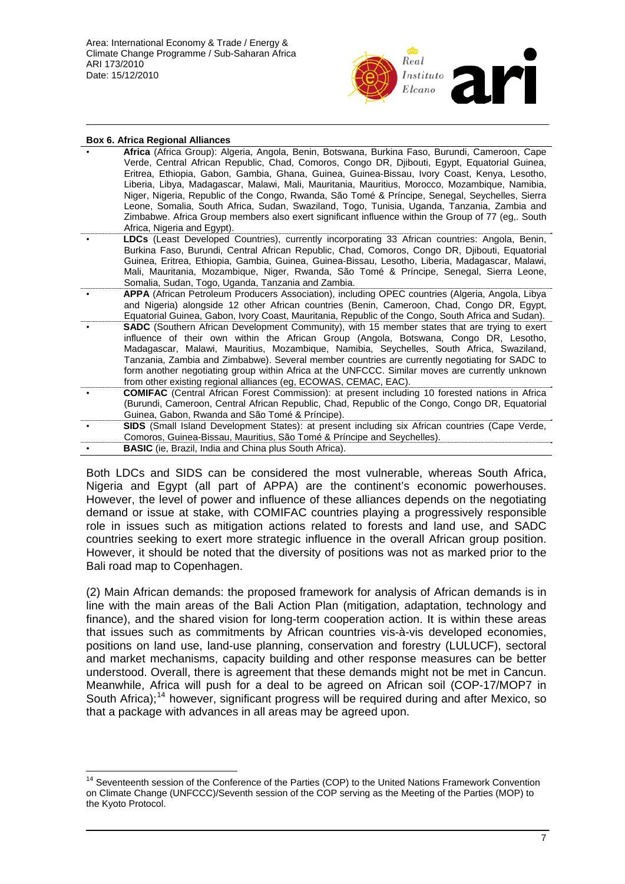

| <b>Box 6. Africa Regional Alliances</b> |                                                                                                                                                                                                                                                                                                                                                                                                                                                                                                                                                                                                                                                                                                                                        |  |  |
|-----------------------------------------|----------------------------------------------------------------------------------------------------------------------------------------------------------------------------------------------------------------------------------------------------------------------------------------------------------------------------------------------------------------------------------------------------------------------------------------------------------------------------------------------------------------------------------------------------------------------------------------------------------------------------------------------------------------------------------------------------------------------------------------|--|--|
|                                         | Africa (Africa Group): Algeria, Angola, Benin, Botswana, Burkina Faso, Burundi, Cameroon, Cape<br>Verde, Central African Republic, Chad, Comoros, Congo DR, Djibouti, Egypt, Equatorial Guinea,<br>Eritrea, Ethiopia, Gabon, Gambia, Ghana, Guinea, Guinea-Bissau, Ivory Coast, Kenya, Lesotho,<br>Liberia, Libya, Madagascar, Malawi, Mali, Mauritania, Mauritius, Morocco, Mozambique, Namibia,<br>Niger, Nigeria, Republic of the Congo, Rwanda, São Tomé & Príncipe, Senegal, Seychelles, Sierra<br>Leone, Somalia, South Africa, Sudan, Swaziland, Togo, Tunisia, Uganda, Tanzania, Zambia and<br>Zimbabwe. Africa Group members also exert significant influence within the Group of 77 (eg South<br>Africa, Nigeria and Egypt). |  |  |
|                                         | LDCs (Least Developed Countries), currently incorporating 33 African countries: Angola, Benin,<br>Burkina Faso, Burundi, Central African Republic, Chad, Comoros, Congo DR, Djibouti, Equatorial<br>Guinea, Eritrea, Ethiopia, Gambia, Guinea, Guinea-Bissau, Lesotho, Liberia, Madagascar, Malawi,<br>Mali, Mauritania, Mozambique, Niger, Rwanda, São Tomé & Príncipe, Senegal, Sierra Leone,<br>Somalia, Sudan, Togo, Uganda, Tanzania and Zambia.                                                                                                                                                                                                                                                                                  |  |  |
|                                         | APPA (African Petroleum Producers Association), including OPEC countries (Algeria, Angola, Libya<br>and Nigeria) alongside 12 other African countries (Benin, Cameroon, Chad, Congo DR, Egypt,<br>Equatorial Guinea, Gabon, Ivory Coast, Mauritania, Republic of the Congo, South Africa and Sudan).                                                                                                                                                                                                                                                                                                                                                                                                                                   |  |  |
|                                         | <b>SADC</b> (Southern African Development Community), with 15 member states that are trying to exert<br>influence of their own within the African Group (Angola, Botswana, Congo DR, Lesotho,<br>Madagascar, Malawi, Mauritius, Mozambique, Namibia, Seychelles, South Africa, Swaziland,<br>Tanzania, Zambia and Zimbabwe). Several member countries are currently negotiating for SADC to<br>form another negotiating group within Africa at the UNFCCC. Similar moves are currently unknown<br>from other existing regional alliances (eg, ECOWAS, CEMAC, EAC).                                                                                                                                                                     |  |  |
|                                         | <b>COMIFAC</b> (Central African Forest Commission): at present including 10 forested nations in Africa<br>(Burundi, Cameroon, Central African Republic, Chad, Republic of the Congo, Congo DR, Equatorial<br>Guinea, Gabon, Rwanda and São Tomé & Príncipe).                                                                                                                                                                                                                                                                                                                                                                                                                                                                           |  |  |
|                                         | SIDS (Small Island Development States): at present including six African countries (Cape Verde,<br>Comoros, Guinea-Bissau, Mauritius, São Tomé & Príncipe and Seychelles).                                                                                                                                                                                                                                                                                                                                                                                                                                                                                                                                                             |  |  |
|                                         | <b>BASIC</b> (ie, Brazil, India and China plus South Africa).                                                                                                                                                                                                                                                                                                                                                                                                                                                                                                                                                                                                                                                                          |  |  |

Both LDCs and SIDS can be considered the most vulnerable, whereas South Africa, Nigeria and Egypt (all part of APPA) are the continent's economic powerhouses. However, the level of power and influence of these alliances depends on the negotiating demand or issue at stake, with COMIFAC countries playing a progressively responsible role in issues such as mitigation actions related to forests and land use, and SADC countries seeking to exert more strategic influence in the overall African group position. However, it should be noted that the diversity of positions was not as marked prior to the Bali road map to Copenhagen.

(2) Main African demands: the proposed framework for analysis of African demands is in line with the main areas of the Bali Action Plan (mitigation, adaptation, technology and finance), and the shared vision for long-term cooperation action. It is within these areas that issues such as commitments by African countries vis-à-vis developed economies, positions on land use, land-use planning, conservation and forestry (LULUCF), sectoral and market mechanisms, capacity building and other response measures can be better understood. Overall, there is agreement that these demands might not be met in Cancun. Meanwhile, Africa will push for a deal to be agreed on African soil (COP-17/MOP7 in South Africa);<sup>[14](#page-6-0)</sup> however, significant progress will be required during and after Mexico, so that a package with advances in all areas may be agreed upon.

 $\overline{a}$ 

<span id="page-6-0"></span><sup>&</sup>lt;sup>14</sup> Seventeenth session of the Conference of the Parties (COP) to the United Nations Framework Convention on Climate Change (UNFCCC)/Seventh session of the COP serving as the Meeting of the Parties (MOP) to the Kyoto Protocol.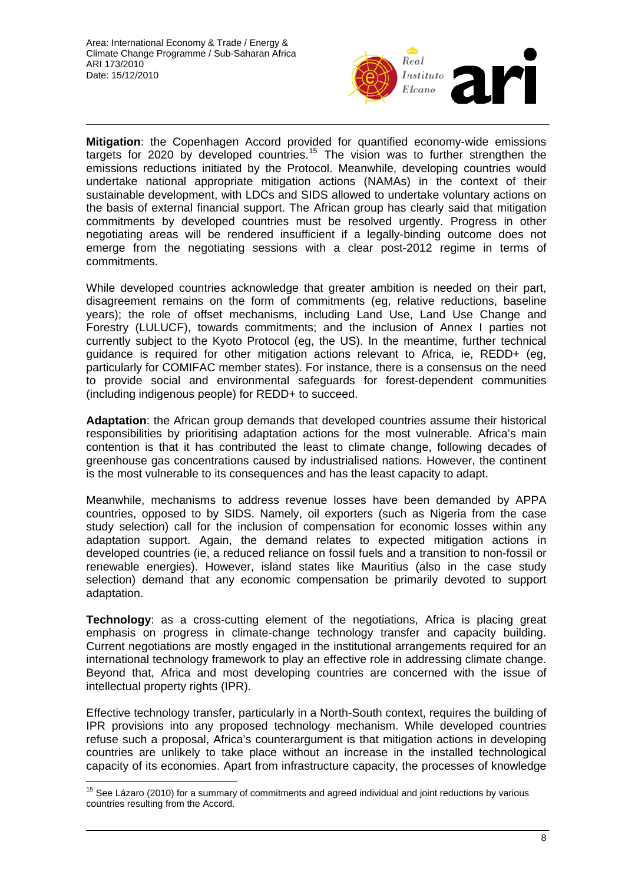

**Mitigation**: the Copenhagen Accord provided for quantified economy-wide emissions targets for 2020 by developed countries.<sup>[15](#page-7-0)</sup> The vision was to further strengthen the emissions reductions initiated by the Protocol. Meanwhile, developing countries would undertake national appropriate mitigation actions (NAMAs) in the context of their sustainable development, with LDCs and SIDS allowed to undertake voluntary actions on the basis of external financial support. The African group has clearly said that mitigation commitments by developed countries must be resolved urgently. Progress in other negotiating areas will be rendered insufficient if a legally-binding outcome does not emerge from the negotiating sessions with a clear post-2012 regime in terms of commitments.

While developed countries acknowledge that greater ambition is needed on their part, disagreement remains on the form of commitments (eg, relative reductions, baseline years); the role of offset mechanisms, including Land Use, Land Use Change and Forestry (LULUCF), towards commitments; and the inclusion of Annex I parties not currently subject to the Kyoto Protocol (eg, the US). In the meantime, further technical guidance is required for other mitigation actions relevant to Africa, ie, REDD+ (eg, particularly for COMIFAC member states). For instance, there is a consensus on the need to provide social and environmental safeguards for forest-dependent communities (including indigenous people) for REDD+ to succeed.

**Adaptation**: the African group demands that developed countries assume their historical responsibilities by prioritising adaptation actions for the most vulnerable. Africa's main contention is that it has contributed the least to climate change, following decades of greenhouse gas concentrations caused by industrialised nations. However, the continent is the most vulnerable to its consequences and has the least capacity to adapt.

Meanwhile, mechanisms to address revenue losses have been demanded by APPA countries, opposed to by SIDS. Namely, oil exporters (such as Nigeria from the case study selection) call for the inclusion of compensation for economic losses within any adaptation support. Again, the demand relates to expected mitigation actions in developed countries (ie, a reduced reliance on fossil fuels and a transition to non-fossil or renewable energies). However, island states like Mauritius (also in the case study selection) demand that any economic compensation be primarily devoted to support adaptation.

**Technology**: as a cross-cutting element of the negotiations, Africa is placing great emphasis on progress in climate-change technology transfer and capacity building. Current negotiations are mostly engaged in the institutional arrangements required for an international technology framework to play an effective role in addressing climate change. Beyond that, Africa and most developing countries are concerned with the issue of intellectual property rights (IPR).

Effective technology transfer, particularly in a North-South context, requires the building of IPR provisions into any proposed technology mechanism. While developed countries refuse such a proposal, Africa's counterargument is that mitigation actions in developing countries are unlikely to take place without an increase in the installed technological capacity of its economies. Apart from infrastructure capacity, the processes of knowledge

 $\overline{a}$ 

<span id="page-7-0"></span> $15$  See Lázaro (2010) for a summary of commitments and agreed individual and joint reductions by various countries resulting from the Accord.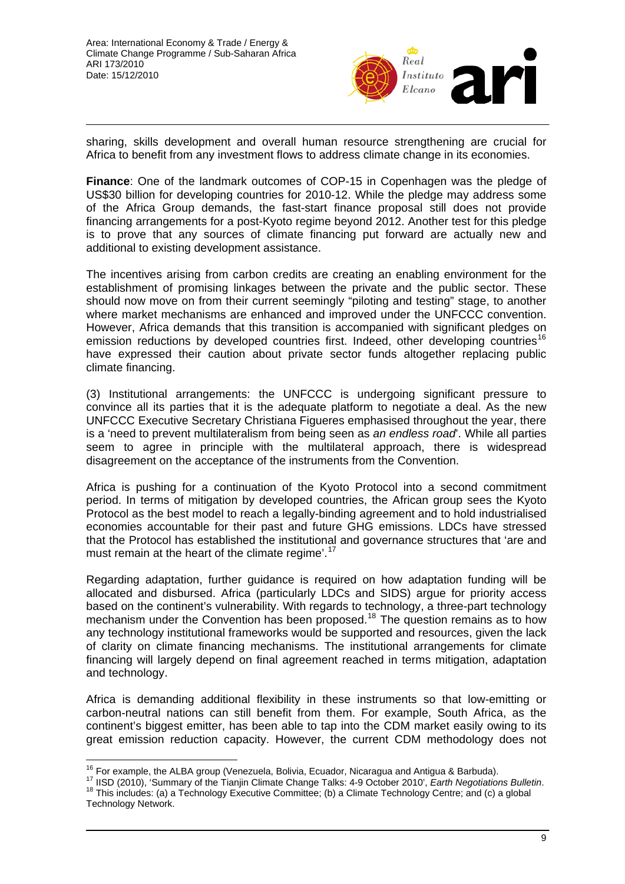

sharing, skills development and overall human resource strengthening are crucial for Africa to benefit from any investment flows to address climate change in its economies.

**Finance**: One of the landmark outcomes of COP-15 in Copenhagen was the pledge of US\$30 billion for developing countries for 2010-12. While the pledge may address some of the Africa Group demands, the fast-start finance proposal still does not provide financing arrangements for a post-Kyoto regime beyond 2012. Another test for this pledge is to prove that any sources of climate financing put forward are actually new and additional to existing development assistance.

The incentives arising from carbon credits are creating an enabling environment for the establishment of promising linkages between the private and the public sector. These should now move on from their current seemingly "piloting and testing" stage, to another where market mechanisms are enhanced and improved under the UNFCCC convention. However, Africa demands that this transition is accompanied with significant pledges on emission reductions by developed countries first. Indeed, other developing countries<sup>[16](#page-8-0)</sup> have expressed their caution about private sector funds altogether replacing public climate financing.

(3) Institutional arrangements: the UNFCCC is undergoing significant pressure to convince all its parties that it is the adequate platform to negotiate a deal. As the new UNFCCC Executive Secretary Christiana Figueres emphasised throughout the year, there is a 'need to prevent multilateralism from being seen as *an endless road*'. While all parties seem to agree in principle with the multilateral approach, there is widespread disagreement on the acceptance of the instruments from the Convention.

Africa is pushing for a continuation of the Kyoto Protocol into a second commitment period. In terms of mitigation by developed countries, the African group sees the Kyoto Protocol as the best model to reach a legally-binding agreement and to hold industrialised economies accountable for their past and future GHG emissions. LDCs have stressed that the Protocol has established the institutional and governance structures that 'are and must remain at the heart of the climate regime'.<sup>[17](#page-8-1)</sup>

Regarding adaptation, further guidance is required on how adaptation funding will be allocated and disbursed. Africa (particularly LDCs and SIDS) argue for priority access based on the continent's vulnerability. With regards to technology, a three-part technology mechanism under the Convention has been proposed.<sup>[18](#page-8-2)</sup> The question remains as to how any technology institutional frameworks would be supported and resources, given the lack of clarity on climate financing mechanisms. The institutional arrangements for climate financing will largely depend on final agreement reached in terms mitigation, adaptation and technology.

Africa is demanding additional flexibility in these instruments so that low-emitting or carbon-neutral nations can still benefit from them. For example, South Africa, as the continent's biggest emitter, has been able to tap into the CDM market easily owing to its great emission reduction capacity. However, the current CDM methodology does not

<span id="page-8-0"></span><sup>&</sup>lt;sup>16</sup> For example, the ALBA group (Venezuela, Bolivia, Ecuador, Nicaragua and Antigua & Barbuda).

<span id="page-8-2"></span><span id="page-8-1"></span><sup>&</sup>lt;sup>17</sup> IISD (2010), 'Summary of the Tianjin Climate Change Talks: 4-9 October 2010', *Earth Negotiations Bulletin.*<br><sup>18</sup> This includes: (a) a Technology Executive Committee; (b) a Climate Technology Centre; and (c) a global Technology Network.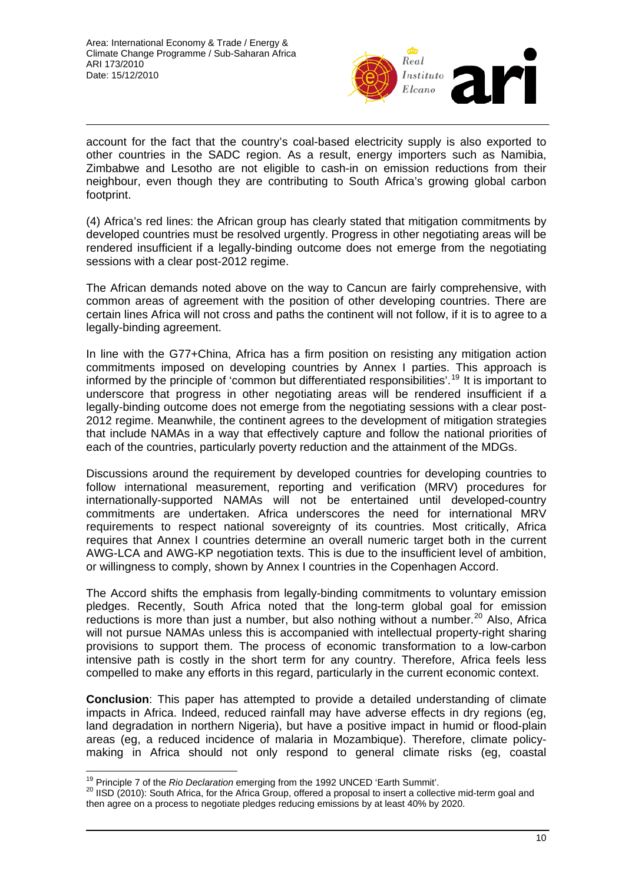

account for the fact that the country's coal-based electricity supply is also exported to other countries in the SADC region. As a result, energy importers such as Namibia, Zimbabwe and Lesotho are not eligible to cash-in on emission reductions from their neighbour, even though they are contributing to South Africa's growing global carbon footprint.

(4) Africa's red lines: the African group has clearly stated that mitigation commitments by developed countries must be resolved urgently. Progress in other negotiating areas will be rendered insufficient if a legally-binding outcome does not emerge from the negotiating sessions with a clear post-2012 regime.

The African demands noted above on the way to Cancun are fairly comprehensive, with common areas of agreement with the position of other developing countries. There are certain lines Africa will not cross and paths the continent will not follow, if it is to agree to a legally-binding agreement.

In line with the G77+China, Africa has a firm position on resisting any mitigation action commitments imposed on developing countries by Annex I parties. This approach is informed by the principle of 'common but differentiated responsibilities'.[19](#page-9-0) It is important to underscore that progress in other negotiating areas will be rendered insufficient if a legally-binding outcome does not emerge from the negotiating sessions with a clear post-2012 regime. Meanwhile, the continent agrees to the development of mitigation strategies that include NAMAs in a way that effectively capture and follow the national priorities of each of the countries, particularly poverty reduction and the attainment of the MDGs.

Discussions around the requirement by developed countries for developing countries to follow international measurement, reporting and verification (MRV) procedures for internationally-supported NAMAs will not be entertained until developed-country commitments are undertaken. Africa underscores the need for international MRV requirements to respect national sovereignty of its countries. Most critically, Africa requires that Annex I countries determine an overall numeric target both in the current AWG-LCA and AWG-KP negotiation texts. This is due to the insufficient level of ambition, or willingness to comply, shown by Annex I countries in the Copenhagen Accord.

The Accord shifts the emphasis from legally-binding commitments to voluntary emission pledges. Recently, South Africa noted that the long-term global goal for emission reductions is more than just a number, but also nothing without a number.<sup>[20](#page-9-1)</sup> Also, Africa will not pursue NAMAs unless this is accompanied with intellectual property-right sharing provisions to support them. The process of economic transformation to a low-carbon intensive path is costly in the short term for any country. Therefore, Africa feels less compelled to make any efforts in this regard, particularly in the current economic context.

**Conclusion**: This paper has attempted to provide a detailed understanding of climate impacts in Africa. Indeed, reduced rainfall may have adverse effects in dry regions (eg, land degradation in northern Nigeria), but have a positive impact in humid or flood-plain areas (eg, a reduced incidence of malaria in Mozambique). Therefore, climate policymaking in Africa should not only respond to general climate risks (eg, coastal

<span id="page-9-0"></span><sup>&</sup>lt;sup>19</sup> Principle 7 of the Rio Declaration emerging from the 1992 UNCED 'Earth Summit'.

<span id="page-9-1"></span><sup>&</sup>lt;sup>20</sup> IISD (2010): South Africa, for the Africa Group, offered a proposal to insert a collective mid-term goal and then agree on a process to negotiate pledges reducing emissions by at least 40% by 2020.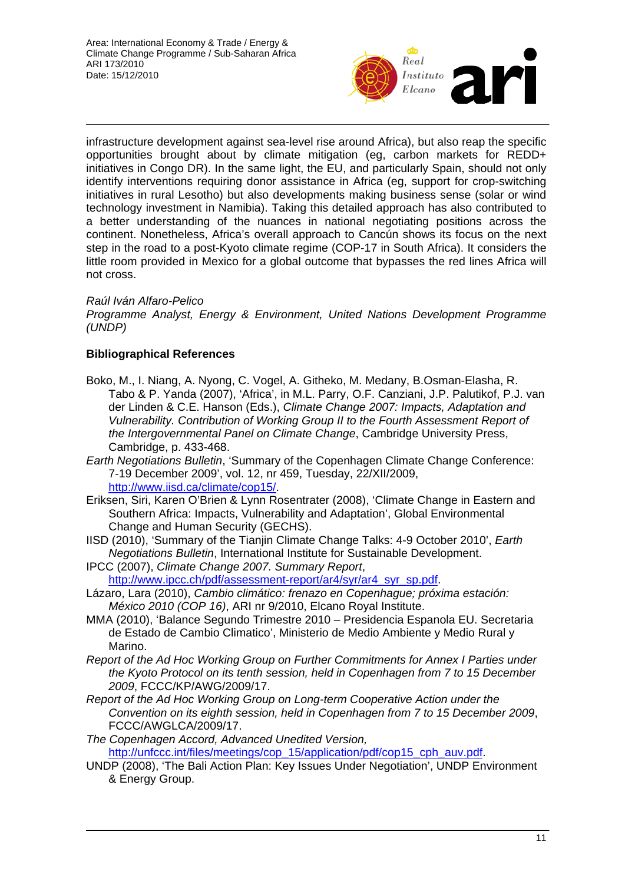

infrastructure development against sea-level rise around Africa), but also reap the specific opportunities brought about by climate mitigation (eg, carbon markets for REDD+ initiatives in Congo DR). In the same light, the EU, and particularly Spain, should not only identify interventions requiring donor assistance in Africa (eg, support for crop-switching initiatives in rural Lesotho) but also developments making business sense (solar or wind technology investment in Namibia). Taking this detailed approach has also contributed to a better understanding of the nuances in national negotiating positions across the continent. Nonetheless, Africa's overall approach to Cancún shows its focus on the next step in the road to a post-Kyoto climate regime (COP-17 in South Africa). It considers the little room provided in Mexico for a global outcome that bypasses the red lines Africa will not cross.

# *Raúl Iván Alfaro-Pelico*

*Programme Analyst, Energy & Environment, United Nations Development Programme (UNDP)* 

# **Bibliographical References**

- Boko, M., I. Niang, A. Nyong, C. Vogel, A. Githeko, M. Medany, B.Osman-Elasha, R. Tabo & P. Yanda (2007), 'Africa', in M.L. Parry, O.F. Canziani, J.P. Palutikof, P.J. van der Linden & C.E. Hanson (Eds.), *Climate Change 2007: Impacts, Adaptation and Vulnerability. Contribution of Working Group II to the Fourth Assessment Report of the Intergovernmental Panel on Climate Change*, Cambridge University Press, Cambridge, p. 433-468.
- *Earth Negotiations Bulletin*, 'Summary of the Copenhagen Climate Change Conference: 7-19 December 2009', vol. 12, nr 459, Tuesday, 22/XII/2009, <http://www.iisd.ca/climate/cop15/>.
- Eriksen, Siri, Karen O'Brien & Lynn Rosentrater (2008), 'Climate Change in Eastern and Southern Africa: Impacts, Vulnerability and Adaptation', Global Environmental Change and Human Security (GECHS).
- IISD (2010), 'Summary of the Tianjin Climate Change Talks: 4-9 October 2010', *Earth Negotiations Bulletin*, International Institute for Sustainable Development.
- IPCC (2007), *Climate Change 2007. Summary Report*, [http://www.ipcc.ch/pdf/assessment-report/ar4/syr/ar4\\_syr\\_sp.pdf](http://www.ipcc.ch/pdf/assessment-report/ar4/syr/ar4_syr_sp.pdf).
- Lázaro, Lara (2010), *Cambio climático: frenazo en Copenhague; próxima estación: México 2010 (COP 16)*, ARI nr 9/2010, Elcano Royal Institute.
- MMA (2010), 'Balance Segundo Trimestre 2010 Presidencia Espanola EU. Secretaria de Estado de Cambio Climatico', Ministerio de Medio Ambiente y Medio Rural y Marino.
- *Report of the Ad Hoc Working Group on Further Commitments for Annex I Parties under the Kyoto Protocol on its tenth session, held in Copenhagen from 7 to 15 December 2009*, FCCC/KP/AWG/2009/17.
- *Report of the Ad Hoc Working Group on Long-term Cooperative Action under the Convention on its eighth session, held in Copenhagen from 7 to 15 December 2009*, FCCC/AWGLCA/2009/17.

*The Copenhagen Accord, Advanced Unedited Version,* [http://unfccc.int/files/meetings/cop\\_15/application/pdf/cop15\\_cph\\_auv.pdf.](http://unfccc.int/files/meetings/cop_15/application/pdf/cop15_cph_auv.pdf)

UNDP (2008), 'The Bali Action Plan: Key Issues Under Negotiation', UNDP Environment & Energy Group.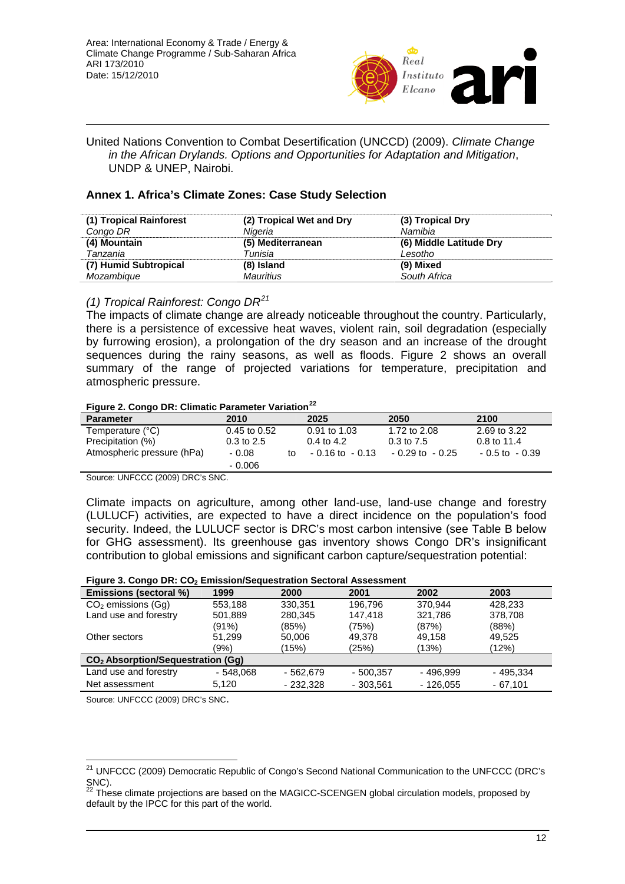

United Nations Convention to Combat Desertification (UNCCD) (2009). *Climate Change in the African Drylands. Options and Opportunities for Adaptation and Mitigation*, UNDP & UNEP, Nairobi.

### **Annex 1. Africa's Climate Zones: Case Study Selection**

| (1) Tropical Rainforest | (2) Tropical Wet and Dry | (3) Tropical Dry        |
|-------------------------|--------------------------|-------------------------|
| Congo DR                | Nigeria                  | Namibia                 |
| (4) Mountain            | (5) Mediterranean        | (6) Middle Latitude Dry |
| Tanzania                | Tunisia                  | Lesotho                 |
| (7) Humid Subtropical   | (8) Island               | (9) Mixed               |
| Mozambique              | <b>Mauritius</b>         | South Africa            |

### *(1) Tropical Rainforest: Congo DR[21](#page-11-0)*

The impacts of climate change are already noticeable throughout the country. Particularly, there is a persistence of excessive heat waves, violent rain, soil degradation (especially by furrowing erosion), a prolongation of the dry season and an increase of the drought sequences during the rainy seasons, as well as floods. Figure 2 shows an overall summary of the range of projected variations for temperature, precipitation and atmospheric pressure.

### **Figure 2. Congo DR: Climatic Parameter Variation[22](#page-11-1)**

| $1.99$ and $2.99$ and $3.11$ . The set of the set of the set of the set of the set of the set of the set of the set of the set of the set of the set of the set of the set of the set of the set of the set of the set of the |                  |    |                    |                       |                   |  |  |  |  |
|-------------------------------------------------------------------------------------------------------------------------------------------------------------------------------------------------------------------------------|------------------|----|--------------------|-----------------------|-------------------|--|--|--|--|
| <b>Parameter</b>                                                                                                                                                                                                              | 2010             |    | 2025               | 2050                  | 2100              |  |  |  |  |
| Temperature (°C)                                                                                                                                                                                                              | $0.45$ to $0.52$ |    | $0.91$ to 1.03     | 1.72 to 2.08          | 2.69 to 3.22      |  |  |  |  |
| Precipitation (%)                                                                                                                                                                                                             | $0.3$ to $2.5$   |    | 0.4 to 4.2         | $0.3 \text{ to } 7.5$ | $0.8$ to 11.4     |  |  |  |  |
| Atmospheric pressure (hPa)                                                                                                                                                                                                    | - 0.08           | t∩ | $-0.16$ to $-0.13$ | $-0.29$ to $-0.25$    | $-0.5$ to $-0.39$ |  |  |  |  |
|                                                                                                                                                                                                                               | $-0.006$         |    |                    |                       |                   |  |  |  |  |

Source: UNFCCC (2009) DRC's SNC.

Climate impacts on agriculture, among other land-use, land-use change and forestry (LULUCF) activities, are expected to have a direct incidence on the population's food security. Indeed, the LULUCF sector is DRC's most carbon intensive (see Table B below for GHG assessment). Its greenhouse gas inventory shows Congo DR's insignificant contribution to global emissions and significant carbon capture/sequestration potential:

#### **Figure 3. Congo DR: CO2 Emission/Sequestration Sectoral Assessment**

| Emissions (sectoral %)                        | 1999       | 2000       | 2001       | 2002       | 2003      |  |  |  |  |  |  |
|-----------------------------------------------|------------|------------|------------|------------|-----------|--|--|--|--|--|--|
| $CO2$ emissions (Gq)                          | 553.188    | 330.351    | 196.796    | 370.944    | 428.233   |  |  |  |  |  |  |
| Land use and forestry                         | 501,889    | 280,345    | 147.418    | 321,786    | 378,708   |  |  |  |  |  |  |
|                                               | (91%)      | (85%)      | (75%)      | (87%)      | (88%)     |  |  |  |  |  |  |
| Other sectors                                 | 51.299     | 50,006     | 49.378     | 49.158     | 49,525    |  |  |  |  |  |  |
|                                               | (9%)       | (15%)      | (25%)      | (13%)      | (12%)     |  |  |  |  |  |  |
| CO <sub>2</sub> Absorption/Sequestration (Gg) |            |            |            |            |           |  |  |  |  |  |  |
| Land use and forestry                         | $-548.068$ | - 562.679  | - 500.357  | - 496.999  | - 495.334 |  |  |  |  |  |  |
| Net assessment                                | 5.120      | $-232.328$ | $-303.561$ | $-126.055$ | $-67.101$ |  |  |  |  |  |  |

Source: UNFCCC (2009) DRC's SNC.

 $\overline{\phantom{a}}$ 

<span id="page-11-0"></span><sup>&</sup>lt;sup>21</sup> UNFCCC (2009) Democratic Republic of Congo's Second National Communication to the UNFCCC (DRC's  $SNC$ ).

<span id="page-11-1"></span>These climate projections are based on the MAGICC-SCENGEN global circulation models, proposed by default by the IPCC for this part of the world.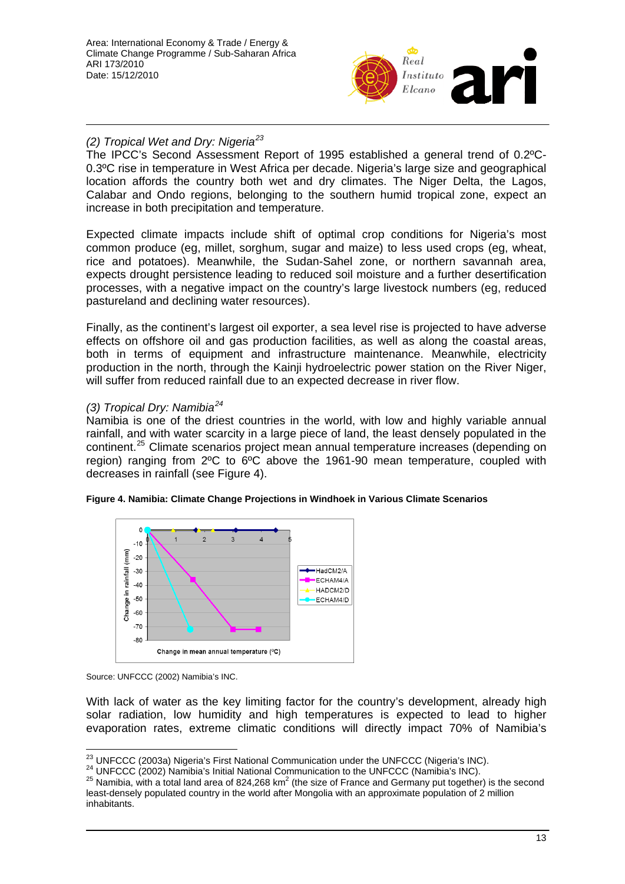

# *(2) Tropical Wet and Dry: Nigeria[23](#page-12-0)*

The IPCC's Second Assessment Report of 1995 established a general trend of 0.2ºC-0.3ºC rise in temperature in West Africa per decade. Nigeria's large size and geographical location affords the country both wet and dry climates. The Niger Delta, the Lagos, Calabar and Ondo regions, belonging to the southern humid tropical zone, expect an increase in both precipitation and temperature.

Expected climate impacts include shift of optimal crop conditions for Nigeria's most common produce (eg, millet, sorghum, sugar and maize) to less used crops (eg, wheat, rice and potatoes). Meanwhile, the Sudan-Sahel zone, or northern savannah area, expects drought persistence leading to reduced soil moisture and a further desertification processes, with a negative impact on the country's large livestock numbers (eg, reduced pastureland and declining water resources).

Finally, as the continent's largest oil exporter, a sea level rise is projected to have adverse effects on offshore oil and gas production facilities, as well as along the coastal areas, both in terms of equipment and infrastructure maintenance. Meanwhile, electricity production in the north, through the Kainji hydroelectric power station on the River Niger, will suffer from reduced rainfall due to an expected decrease in river flow.

# *(3) Tropical Dry: Namibia[24](#page-12-1)*

Namibia is one of the driest countries in the world, with low and highly variable annual rainfall, and with water scarcity in a large piece of land, the least densely populated in the continent.[25](#page-12-2) Climate scenarios project mean annual temperature increases (depending on region) ranging from 2ºC to 6ºC above the 1961-90 mean temperature, coupled with decreases in rainfall (see Figure 4).



### **Figure 4. Namibia: Climate Change Projections in Windhoek in Various Climate Scenarios**

With lack of water as the key limiting factor for the country's development, already high solar radiation, low humidity and high temperatures is expected to lead to higher evaporation rates, extreme climatic conditions will directly impact 70% of Namibia's

Source: UNFCCC (2002) Namibia's INC.

<span id="page-12-0"></span><sup>&</sup>lt;sup>23</sup> UNFCCC (2003a) Nigeria's First National Communication under the UNFCCC (Nigeria's INC).

<span id="page-12-1"></span><sup>&</sup>lt;sup>24</sup> UNFCCC (2002) Namibia's Initial National Communication to the UNFCCC (Namibia's INC).

<span id="page-12-2"></span> $^{25}$  Namibia, with a total land area of 824,268 km<sup>2</sup> (the size of France and Germany put together) is the second least-densely populated country in the world after Mongolia with an approximate population of 2 million inhabitants.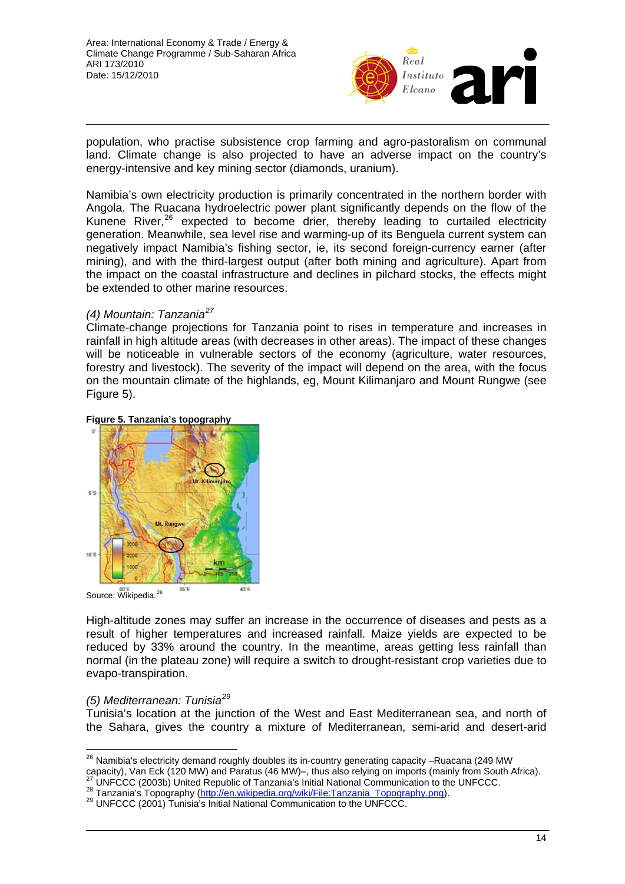

population, who practise subsistence crop farming and agro-pastoralism on communal land. Climate change is also projected to have an adverse impact on the country's energy-intensive and key mining sector (diamonds, uranium).

Namibia's own electricity production is primarily concentrated in the northern border with Angola. The Ruacana hydroelectric power plant significantly depends on the flow of the Kunene River, $^{26}$  $^{26}$  $^{26}$  expected to become drier, thereby leading to curtailed electricity generation. Meanwhile, sea level rise and warming-up of its Benguela current system can negatively impact Namibia's fishing sector, ie, its second foreign-currency earner (after mining), and with the third-largest output (after both mining and agriculture). Apart from the impact on the coastal infrastructure and declines in pilchard stocks, the effects might be extended to other marine resources.

# *(4) Mountain: Tanzania[27](#page-13-1)*

Climate-change projections for Tanzania point to rises in temperature and increases in rainfall in high altitude areas (with decreases in other areas). The impact of these changes will be noticeable in vulnerable sectors of the economy (agriculture, water resources, forestry and livestock). The severity of the impact will depend on the area, with the focus on the mountain climate of the highlands, eg, Mount Kilimanjaro and Mount Rungwe (see Figure 5).



### **Figure 5. Tanzania's topography**

High-altitude zones may suffer an increase in the occurrence of diseases and pests as a result of higher temperatures and increased rainfall. Maize yields are expected to be reduced by 33% around the country. In the meantime, areas getting less rainfall than normal (in the plateau zone) will require a switch to drought-resistant crop varieties due to evapo-transpiration.

# *(5) Mediterranean: Tunisia[29](#page-13-3)*

Tunisia's location at the junction of the West and East Mediterranean sea, and north of the Sahara, gives the country a mixture of Mediterranean, semi-arid and desert-arid

<span id="page-13-0"></span> $\overline{a}$  $^{26}$  Namibia's electricity demand roughly doubles its in-country generating capacity –Ruacana (249 MW capacity), Van Eck (120 MW) and Paratus (46 MW)—, thus also relying on imports (mainly from South Africa).<br><sup>27</sup> UNFCCC (2003b) Unite[d Republic of Tanzania's Initial National Communication to t](http://en.wikipedia.org/wiki/File:Tanzania_Topography.png)he UNFCCC.<br><sup>28</sup> Tanzania's Top

<span id="page-13-2"></span><span id="page-13-1"></span>

<span id="page-13-3"></span>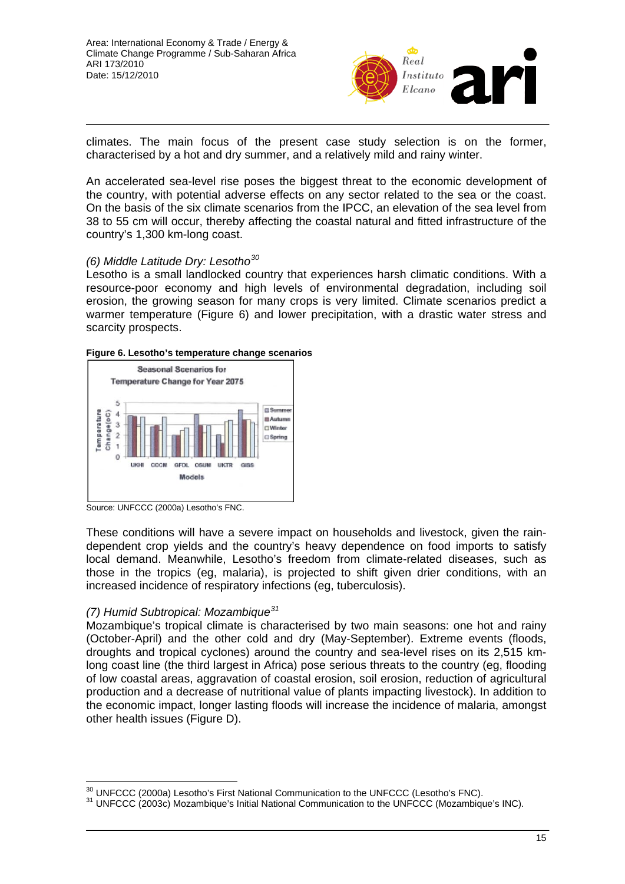

climates. The main focus of the present case study selection is on the former, characterised by a hot and dry summer, and a relatively mild and rainy winter.

An accelerated sea-level rise poses the biggest threat to the economic development of the country, with potential adverse effects on any sector related to the sea or the coast. On the basis of the six climate scenarios from the IPCC, an elevation of the sea level from 38 to 55 cm will occur, thereby affecting the coastal natural and fitted infrastructure of the country's 1,300 km-long coast.

### *(6) Middle Latitude Dry: Lesotho[30](#page-14-0)*

Lesotho is a small landlocked country that experiences harsh climatic conditions. With a resource-poor economy and high levels of environmental degradation, including soil erosion, the growing season for many crops is very limited. Climate scenarios predict a warmer temperature (Figure 6) and lower precipitation, with a drastic water stress and scarcity prospects.





Source: UNFCCC (2000a) Lesotho's FNC.

These conditions will have a severe impact on households and livestock, given the raindependent crop yields and the country's heavy dependence on food imports to satisfy local demand. Meanwhile, Lesotho's freedom from climate-related diseases, such as those in the tropics (eg, malaria), is projected to shift given drier conditions, with an increased incidence of respiratory infections (eg, tuberculosis).

# *(7) Humid Subtropical: Mozambique[31](#page-14-1)*

Mozambique's tropical climate is characterised by two main seasons: one hot and rainy (October-April) and the other cold and dry (May-September). Extreme events (floods, droughts and tropical cyclones) around the country and sea-level rises on its 2,515 kmlong coast line (the third largest in Africa) pose serious threats to the country (eg, flooding of low coastal areas, aggravation of coastal erosion, soil erosion, reduction of agricultural production and a decrease of nutritional value of plants impacting livestock). In addition to the economic impact, longer lasting floods will increase the incidence of malaria, amongst other health issues (Figure D).

 $\overline{a}$ 

<span id="page-14-1"></span><span id="page-14-0"></span> $30$  UNFCCC (2000a) Lesotho's First National Communication to the UNFCCC (Lesotho's FNC).<br> $31$  UNFCCC (2003c) Mozambique's Initial National Communication to the UNFCCC (Mozambique's INC).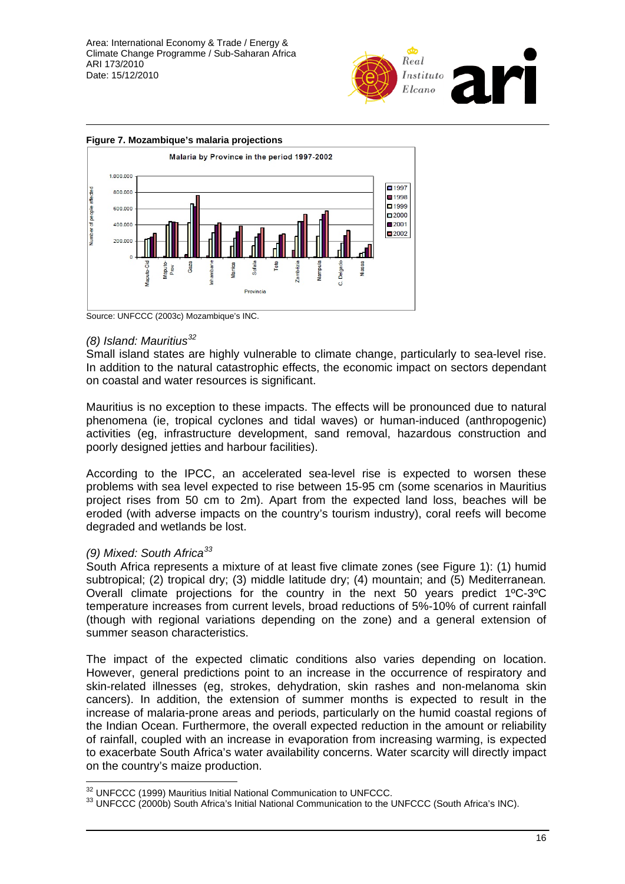Area: International Economy & Trade / Energy & Climate Change Programme / Sub-Saharan Africa ARI 173/2010 Date: 15/12/2010





Source: UNFCCC (2003c) Mozambique's INC.

# *(8) Island: Mauritius[32](#page-15-0)*

Small island states are highly vulnerable to climate change, particularly to sea-level rise. In addition to the natural catastrophic effects, the economic impact on sectors dependant on coastal and water resources is significant.

Mauritius is no exception to these impacts. The effects will be pronounced due to natural phenomena (ie, tropical cyclones and tidal waves) or human-induced (anthropogenic) activities (eg, infrastructure development, sand removal, hazardous construction and poorly designed jetties and harbour facilities).

According to the IPCC, an accelerated sea-level rise is expected to worsen these problems with sea level expected to rise between 15-95 cm (some scenarios in Mauritius project rises from 50 cm to 2m). Apart from the expected land loss, beaches will be eroded (with adverse impacts on the country's tourism industry), coral reefs will become degraded and wetlands be lost.

# *(9) Mixed: South Africa[33](#page-15-1)*

South Africa represents a mixture of at least five climate zones (see Figure 1): (1) humid subtropical; (2) tropical dry; (3) middle latitude dry; (4) mountain; and (5) Mediterranean*.* Overall climate projections for the country in the next 50 years predict 1ºC-3ºC temperature increases from current levels, broad reductions of 5%-10% of current rainfall (though with regional variations depending on the zone) and a general extension of summer season characteristics.

The impact of the expected climatic conditions also varies depending on location. However, general predictions point to an increase in the occurrence of respiratory and skin-related illnesses (eg, strokes, dehydration, skin rashes and non-melanoma skin cancers). In addition, the extension of summer months is expected to result in the increase of malaria-prone areas and periods, particularly on the humid coastal regions of the Indian Ocean. Furthermore, the overall expected reduction in the amount or reliability of rainfall, coupled with an increase in evaporation from increasing warming, is expected to exacerbate South Africa's water availability concerns. Water scarcity will directly impact on the country's maize production.

<span id="page-15-0"></span><sup>&</sup>lt;sup>32</sup> UNFCCC (1999) Mauritius Initial National Communication to UNFCCC.

<span id="page-15-1"></span><sup>33</sup> UNFCCC (2000b) South Africa's Initial National Communication to the UNFCCC (South Africa's INC).